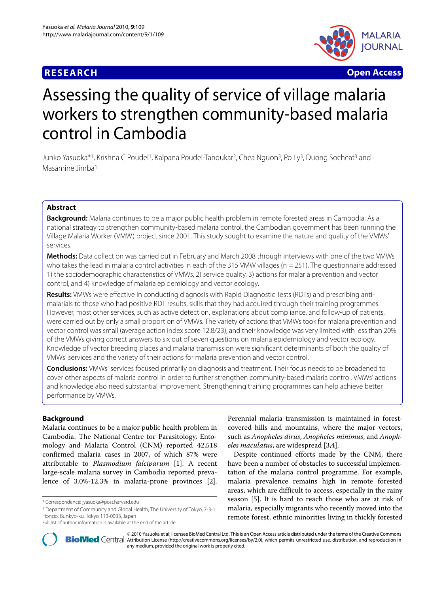# **RESEARCH Open Access**



# Assessing the quality of service of village malaria workers to strengthen community-based malaria control in Cambodia

Junko Yasuoka\*1, Krishna C Poudel1, Kalpana Poudel-Tandukar2, Chea Nguon3, Po Ly3, Duong Socheat3 and Masamine Jimba<sup>1</sup>

# **Abstract**

**Background:** Malaria continues to be a major public health problem in remote forested areas in Cambodia. As a national strategy to strengthen community-based malaria control, the Cambodian government has been running the Village Malaria Worker (VMW) project since 2001. This study sought to examine the nature and quality of the VMWs' services.

**Methods:** Data collection was carried out in February and March 2008 through interviews with one of the two VMWs who takes the lead in malaria control activities in each of the 315 VMW villages ( $n = 251$ ). The questionnaire addressed 1) the sociodemographic characteristics of VMWs, 2) service quality, 3) actions for malaria prevention and vector control, and 4) knowledge of malaria epidemiology and vector ecology.

**Results:** VMWs were effective in conducting diagnosis with Rapid Diagnostic Tests (RDTs) and prescribing antimalarials to those who had positive RDT results, skills that they had acquired through their training programmes. However, most other services, such as active detection, explanations about compliance, and follow-up of patients, were carried out by only a small proportion of VMWs. The variety of actions that VMWs took for malaria prevention and vector control was small (average action index score 12.8/23), and their knowledge was very limited with less than 20% of the VMWs giving correct answers to six out of seven questions on malaria epidemiology and vector ecology. Knowledge of vector breeding places and malaria transmission were significant determinants of both the quality of VMWs' services and the variety of their actions for malaria prevention and vector control.

**Conclusions:** VMWs' services focused primarily on diagnosis and treatment. Their focus needs to be broadened to cover other aspects of malaria control in order to further strengthen community-based malaria control. VMWs' actions and knowledge also need substantial improvement. Strengthening training programmes can help achieve better performance by VMWs.

# **Background**

Malaria continues to be a major public health problem in Cambodia. The National Centre for Parasitology, Entomology and Malaria Control (CNM) reported 42,518 confirmed malaria cases in 2007, of which 87% were attributable to *Plasmodium falciparum* [[1\]](#page-9-0). A recent large-scale malaria survey in Cambodia reported prevalence of 3.0%-12.3% in malaria-prone provinces [\[2](#page-9-1)].

1 Department of Community and Global Health, The University of Tokyo, 7-3-1 Hongo, Bunkyo-ku, Tokyo 113-0033, Japan

Perennial malaria transmission is maintained in forestcovered hills and mountains, where the major vectors, such as *Anopheles dirus*, *Anopheles minimus*, and *Anopheles maculatus*, are widespread [\[3](#page-9-2)[,4](#page-9-3)].

Despite continued efforts made by the CNM, there have been a number of obstacles to successful implementation of the malaria control programme. For example, malaria prevalence remains high in remote forested areas, which are difficult to access, especially in the rainy season [\[5](#page-9-4)]. It is hard to reach those who are at risk of malaria, especially migrants who recently moved into the remote forest, ethnic minorities living in thickly forested



2010 Yasuoka et al; licensee [BioMed](http://www.biomedcentral.com/) Central Ltd. This is an Open Access article distributed under the terms of the Creative Commons (http://creativecommons.org/licenses/by/2.0), which permits unrestricted use, distribution any medium, provided the original work is properly cited.

<sup>\*</sup> Correspondence: jyasuoka@post.harvard.edu

Full list of author information is available at the end of the article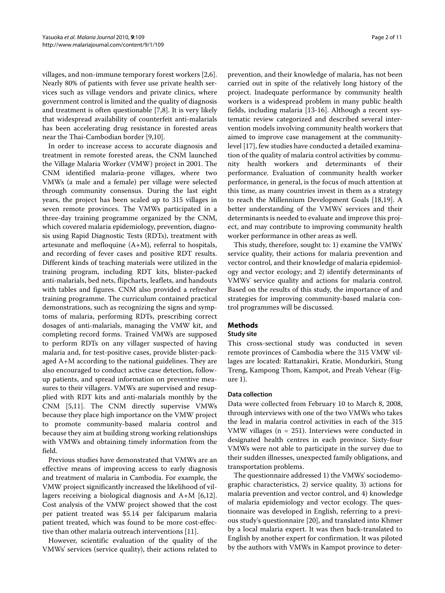villages, and non-immune temporary forest workers [[2](#page-9-1)[,6](#page-9-5)]. Nearly 80% of patients with fever use private health services such as village vendors and private clinics, where government control is limited and the quality of diagnosis and treatment is often questionable [[7,](#page-9-6)[8\]](#page-9-7). It is very likely that widespread availability of counterfeit anti-malarials has been accelerating drug resistance in forested areas near the Thai-Cambodian border [\[9](#page-9-8),[10](#page-9-9)].

In order to increase access to accurate diagnosis and treatment in remote forested areas, the CNM launched the Village Malaria Worker (VMW) project in 2001. The CNM identified malaria-prone villages, where two VMWs (a male and a female) per village were selected through community consensus. During the last eight years, the project has been scaled up to 315 villages in seven remote provinces. The VMWs participated in a three-day training programme organized by the CNM, which covered malaria epidemiology, prevention, diagnosis using Rapid Diagnostic Tests (RDTs), treatment with artesunate and mefloquine (A+M), referral to hospitals, and recording of fever cases and positive RDT results. Different kinds of teaching materials were utilized in the training program, including RDT kits, blister-packed anti-malarials, bed nets, flipcharts, leaflets, and handouts with tables and figures. CNM also provided a refresher training programme. The curriculum contained practical demonstrations, such as recognizing the signs and symptoms of malaria, performing RDTs, prescribing correct dosages of anti-malarials, managing the VMW kit, and completing record forms. Trained VMWs are supposed to perform RDTs on any villager suspected of having malaria and, for test-positive cases, provide blister-packaged A+M according to the national guidelines. They are also encouraged to conduct active case detection, followup patients, and spread information on preventive measures to their villagers. VMWs are supervised and resupplied with RDT kits and anti-malarials monthly by the CNM [\[5](#page-9-4)[,11](#page-9-10)]. The CNM directly supervise VMWs because they place high importance on the VMW project to promote community-based malaria control and because they aim at building strong working relationships with VMWs and obtaining timely information from the field.

Previous studies have demonstrated that VMWs are an effective means of improving access to early diagnosis and treatment of malaria in Cambodia. For example, the VMW project significantly increased the likelihood of villagers receiving a biological diagnosis and A+M [\[6](#page-9-5)[,12](#page-9-11)]. Cost analysis of the VMW project showed that the cost per patient treated was \$5.14 per falciparum malaria patient treated, which was found to be more cost-effective than other malaria outreach interventions [\[11](#page-9-10)].

However, scientific evaluation of the quality of the VMWs' services (service quality), their actions related to

prevention, and their knowledge of malaria, has not been carried out in spite of the relatively long history of the project. Inadequate performance by community health workers is a widespread problem in many public health fields, including malaria [\[13](#page-9-12)-[16\]](#page-9-13). Although a recent systematic review categorized and described several intervention models involving community health workers that aimed to improve case management at the communitylevel [[17\]](#page-9-14), few studies have conducted a detailed examination of the quality of malaria control activities by community health workers and determinants of their performance. Evaluation of community health worker performance, in general, is the focus of much attention at this time, as many countries invest in them as a strategy to reach the Millennium Development Goals [[18](#page-9-15),[19\]](#page-9-16). A better understanding of the VMWs' services and their determinants is needed to evaluate and improve this project, and may contribute to improving community health worker performance in other areas as well.

This study, therefore, sought to: 1) examine the VMWs' service quality, their actions for malaria prevention and vector control, and their knowledge of malaria epidemiology and vector ecology; and 2) identify determinants of VMWs' service quality and actions for malaria control. Based on the results of this study, the importance of and strategies for improving community-based malaria control programmes will be discussed.

# **Methods**

## **Study site**

This cross-sectional study was conducted in seven remote provinces of Cambodia where the 315 VMW villages are located: Rattanakiri, Kratie, Mondurkiri, Stung Treng, Kampong Thom, Kampot, and Preah Vehear (Figure [1](#page-2-0)).

# **Data collection**

Data were collected from February 10 to March 8, 2008, through interviews with one of the two VMWs who takes the lead in malaria control activities in each of the 315 VMW villages ( $n = 251$ ). Interviews were conducted in designated health centres in each province. Sixty-four VMWs were not able to participate in the survey due to their sudden illnesses, unexpected family obligations, and transportation problems.

The questionnaire addressed 1) the VMWs' sociodemographic characteristics, 2) service quality, 3) actions for malaria prevention and vector control, and 4) knowledge of malaria epidemiology and vector ecology. The questionnaire was developed in English, referring to a previous study's questionnaire [[20\]](#page-9-17), and translated into Khmer by a local malaria expert. It was then back-translated to English by another expert for confirmation. It was piloted by the authors with VMWs in Kampot province to deter-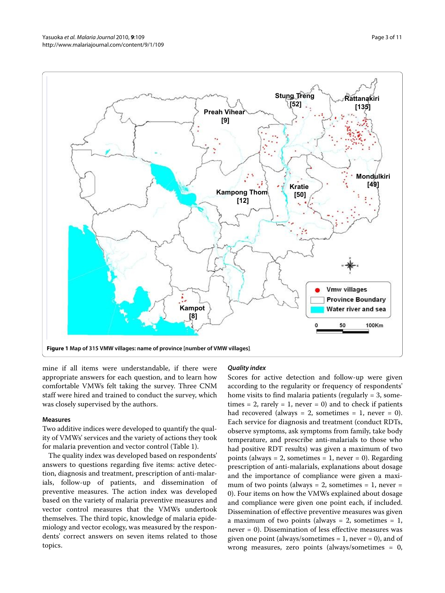<span id="page-2-0"></span>

mine if all items were understandable, if there were appropriate answers for each question, and to learn how comfortable VMWs felt taking the survey. Three CNM staff were hired and trained to conduct the survey, which was closely supervised by the authors.

## **Measures**

Two additive indices were developed to quantify the quality of VMWs' services and the variety of actions they took for malaria prevention and vector control (Table 1).

The quality index was developed based on respondents' answers to questions regarding five items: active detection, diagnosis and treatment, prescription of anti-malarials, follow-up of patients, and dissemination of preventive measures. The action index was developed based on the variety of malaria preventive measures and vector control measures that the VMWs undertook themselves. The third topic, knowledge of malaria epidemiology and vector ecology, was measured by the respondents' correct answers on seven items related to those topics.

## **Quality index**

Scores for active detection and follow-up were given according to the regularity or frequency of respondents' home visits to find malaria patients (regularly  $=$  3, sometimes = 2, rarely = 1, never = 0) and to check if patients had recovered (always = 2, sometimes = 1, never = 0). Each service for diagnosis and treatment (conduct RDTs, observe symptoms, ask symptoms from family, take body temperature, and prescribe anti-malarials to those who had positive RDT results) was given a maximum of two points (always = 2, sometimes = 1, never = 0). Regarding prescription of anti-malarials, explanations about dosage and the importance of compliance were given a maximum of two points (always  $= 2$ , sometimes  $= 1$ , never  $=$ 0). Four items on how the VMWs explained about dosage and compliance were given one point each, if included. Dissemination of effective preventive measures was given a maximum of two points (always  $= 2$ , sometimes  $= 1$ , never = 0). Dissemination of less effective measures was given one point (always/sometimes  $= 1$ , never  $= 0$ ), and of wrong measures, zero points (always/sometimes = 0,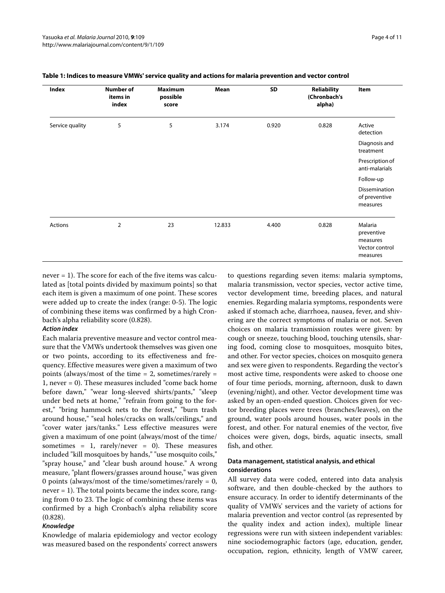| <b>Index</b>    | <b>Number of</b><br>items in<br>index | <b>Maximum</b><br>possible<br>score | Mean   | <b>SD</b> | <b>Reliability</b><br>(Chronbach's<br>alpha) | Item                                                            |
|-----------------|---------------------------------------|-------------------------------------|--------|-----------|----------------------------------------------|-----------------------------------------------------------------|
| Service quality | 5                                     | 5                                   | 3.174  | 0.920     | 0.828                                        | Active<br>detection                                             |
|                 |                                       |                                     |        |           |                                              | Diagnosis and<br>treatment                                      |
|                 |                                       |                                     |        |           |                                              | Prescription of<br>anti-malarials                               |
|                 |                                       |                                     |        |           |                                              | Follow-up                                                       |
|                 |                                       |                                     |        |           |                                              | <b>Dissemination</b><br>of preventive<br>measures               |
| <b>Actions</b>  | $\overline{2}$                        | 23                                  | 12.833 | 4.400     | 0.828                                        | Malaria<br>preventive<br>measures<br>Vector control<br>measures |

## **Table 1: Indices to measure VMWs' service quality and actions for malaria prevention and vector control**

never = 1). The score for each of the five items was calculated as [total points divided by maximum points] so that each item is given a maximum of one point. These scores were added up to create the index (range: 0-5). The logic of combining these items was confirmed by a high Cronbach's alpha reliability score (0.828).

# **Action index**

Each malaria preventive measure and vector control measure that the VMWs undertook themselves was given one or two points, according to its effectiveness and frequency. Effective measures were given a maximum of two points (always/most of the time  $= 2$ , sometimes/rarely  $=$ 1, never = 0). These measures included "come back home before dawn," "wear long-sleeved shirts/pants," "sleep under bed nets at home," "refrain from going to the forest," "bring hammock nets to the forest," "burn trash around house," "seal holes/cracks on walls/ceilings," and "cover water jars/tanks." Less effective measures were given a maximum of one point (always/most of the time/ sometimes = 1, rarely/never = 0). These measures included "kill mosquitoes by hands," "use mosquito coils," "spray house," and "clear bush around house." A wrong measure, "plant flowers/grasses around house," was given 0 points (always/most of the time/sometimes/rarely =  $0$ , never = 1). The total points became the index score, ranging from 0 to 23. The logic of combining these items was confirmed by a high Cronbach's alpha reliability score (0.828).

## **Knowledge**

Knowledge of malaria epidemiology and vector ecology was measured based on the respondents' correct answers to questions regarding seven items: malaria symptoms, malaria transmission, vector species, vector active time, vector development time, breeding places, and natural enemies. Regarding malaria symptoms, respondents were asked if stomach ache, diarrhoea, nausea, fever, and shivering are the correct symptoms of malaria or not. Seven choices on malaria transmission routes were given: by cough or sneeze, touching blood, touching utensils, sharing food, coming close to mosquitoes, mosquito bites, and other. For vector species, choices on mosquito genera and sex were given to respondents. Regarding the vector's most active time, respondents were asked to choose one of four time periods, morning, afternoon, dusk to dawn (evening/night), and other. Vector development time was asked by an open-ended question. Choices given for vector breeding places were trees (branches/leaves), on the ground, water pools around houses, water pools in the forest, and other. For natural enemies of the vector, five choices were given, dogs, birds, aquatic insects, small fish, and other.

# **Data management, statistical analysis, and ethical considerations**

All survey data were coded, entered into data analysis software, and then double-checked by the authors to ensure accuracy. In order to identify determinants of the quality of VMWs' services and the variety of actions for malaria prevention and vector control (as represented by the quality index and action index), multiple linear regressions were run with sixteen independent variables: nine sociodemographic factors (age, education, gender, occupation, region, ethnicity, length of VMW career,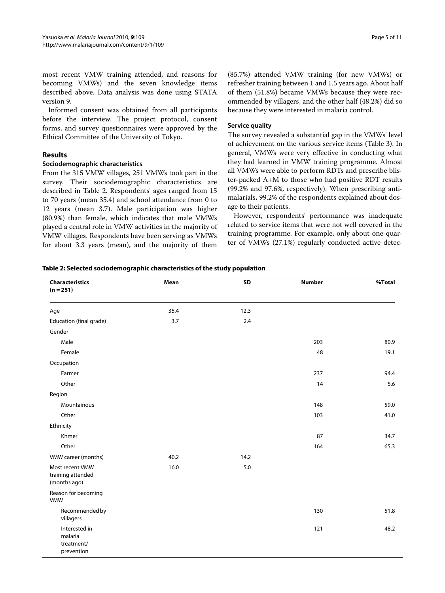most recent VMW training attended, and reasons for becoming VMWs) and the seven knowledge items described above. Data analysis was done using STATA version 9.

Informed consent was obtained from all participants before the interview. The project protocol, consent forms, and survey questionnaires were approved by the Ethical Committee of the University of Tokyo.

## **Results**

## **Sociodemographic characteristics**

From the 315 VMW villages, 251 VMWs took part in the survey. Their sociodemographic characteristics are described in Table 2. Respondents' ages ranged from 15 to 70 years (mean 35.4) and school attendance from 0 to 12 years (mean 3.7). Male participation was higher (80.9%) than female, which indicates that male VMWs played a central role in VMW activities in the majority of VMW villages. Respondents have been serving as VMWs for about 3.3 years (mean), and the majority of them

(85.7%) attended VMW training (for new VMWs) or refresher training between 1 and 1.5 years ago. About half of them (51.8%) became VMWs because they were recommended by villagers, and the other half (48.2%) did so because they were interested in malaria control.

## **Service quality**

The survey revealed a substantial gap in the VMWs' level of achievement on the various service items (Table 3). In general, VMWs were very effective in conducting what they had learned in VMW training programme. Almost all VMWs were able to perform RDTs and prescribe blister-packed A+M to those who had positive RDT results (99.2% and 97.6%, respectively). When prescribing antimalarials, 99.2% of the respondents explained about dosage to their patients.

However, respondents' performance was inadequate related to service items that were not well covered in the training programme. For example, only about one-quarter of VMWs (27.1%) regularly conducted active detec-

## **Table 2: Selected sociodemographic characteristics of the study population**

| <b>Characteristics</b>                               | Mean | SD      | <b>Number</b> | %Total |
|------------------------------------------------------|------|---------|---------------|--------|
| $(n = 251)$                                          |      |         |               |        |
| Age                                                  | 35.4 | 12.3    |               |        |
| Education (final grade)                              | 3.7  | 2.4     |               |        |
| Gender                                               |      |         |               |        |
| Male                                                 |      |         | 203           | 80.9   |
| Female                                               |      |         | 48            | 19.1   |
| Occupation                                           |      |         |               |        |
| Farmer                                               |      |         | 237           | 94.4   |
| Other                                                |      |         | 14            | 5.6    |
| Region                                               |      |         |               |        |
| Mountainous                                          |      |         | 148           | 59.0   |
| Other                                                |      |         | 103           | 41.0   |
| Ethnicity                                            |      |         |               |        |
| Khmer                                                |      |         | 87            | 34.7   |
| Other                                                |      |         | 164           | 65.3   |
| VMW career (months)                                  | 40.2 | 14.2    |               |        |
| Most recent VMW<br>training attended<br>(months ago) | 16.0 | $5.0\,$ |               |        |
| Reason for becoming<br><b>VMW</b>                    |      |         |               |        |
| Recommended by<br>villagers                          |      |         | 130           | 51.8   |
| Interested in<br>malaria<br>treatment/<br>prevention |      |         | 121           | 48.2   |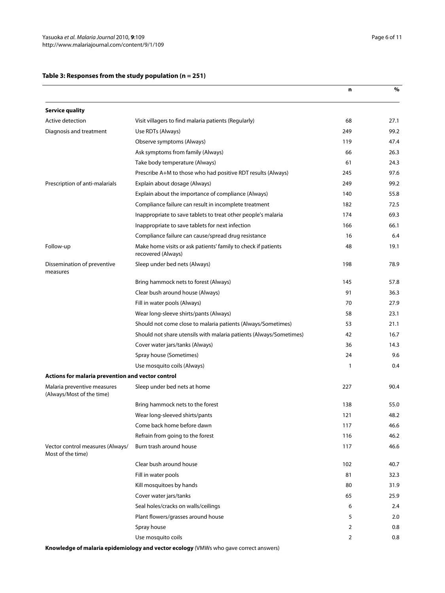# **Table 3: Responses from the study population (n = 251)**

|                                                          |                                                                                     | n              | %    |
|----------------------------------------------------------|-------------------------------------------------------------------------------------|----------------|------|
| <b>Service quality</b>                                   |                                                                                     |                |      |
| Active detection                                         | Visit villagers to find malaria patients (Regularly)                                | 68             | 27.1 |
| Diagnosis and treatment                                  | Use RDTs (Always)                                                                   | 249            | 99.2 |
|                                                          | Observe symptoms (Always)                                                           | 119            | 47.4 |
|                                                          | Ask symptoms from family (Always)                                                   | 66             | 26.3 |
|                                                          | Take body temperature (Always)                                                      | 61             | 24.3 |
|                                                          | Prescribe A+M to those who had positive RDT results (Always)                        | 245            | 97.6 |
| Prescription of anti-malarials                           | Explain about dosage (Always)                                                       | 249            | 99.2 |
|                                                          | Explain about the importance of compliance (Always)                                 | 140            | 55.8 |
|                                                          | Compliance failure can result in incomplete treatment                               | 182            | 72.5 |
|                                                          | Inappropriate to save tablets to treat other people's malaria                       | 174            | 69.3 |
|                                                          | Inappropriate to save tablets for next infection                                    | 166            | 66.1 |
|                                                          | Compliance failure can cause/spread drug resistance                                 | 16             | 6.4  |
| Follow-up                                                | Make home visits or ask patients' family to check if patients<br>recovered (Always) | 48             | 19.1 |
| Dissemination of preventive<br>measures                  | Sleep under bed nets (Always)                                                       | 198            | 78.9 |
|                                                          | Bring hammock nets to forest (Always)                                               | 145            | 57.8 |
|                                                          | Clear bush around house (Always)                                                    | 91             | 36.3 |
|                                                          | Fill in water pools (Always)                                                        | 70             | 27.9 |
|                                                          | Wear long-sleeve shirts/pants (Always)                                              | 58             | 23.1 |
|                                                          | Should not come close to malaria patients (Always/Sometimes)                        | 53             | 21.1 |
|                                                          | Should not share utensils with malaria patients (Always/Sometimes)                  | 42             | 16.7 |
|                                                          | Cover water jars/tanks (Always)                                                     | 36             | 14.3 |
|                                                          | Spray house (Sometimes)                                                             | 24             | 9.6  |
|                                                          | Use mosquito coils (Always)                                                         | $\mathbf{1}$   | 0.4  |
| Actions for malaria prevention and vector control        |                                                                                     |                |      |
| Malaria preventive measures<br>(Always/Most of the time) | Sleep under bed nets at home                                                        | 227            | 90.4 |
|                                                          | Bring hammock nets to the forest                                                    | 138            | 55.0 |
|                                                          | Wear long-sleeved shirts/pants                                                      | 121            | 48.2 |
|                                                          | Come back home before dawn                                                          | 117            | 46.6 |
|                                                          | Refrain from going to the forest                                                    | 116            | 46.2 |
| Vector control measures (Always/<br>Most of the time)    | Burn trash around house                                                             | 117            | 46.6 |
|                                                          | Clear bush around house                                                             | 102            | 40.7 |
|                                                          | Fill in water pools                                                                 | 81             | 32.3 |
|                                                          | Kill mosquitoes by hands                                                            | 80             | 31.9 |
|                                                          | Cover water jars/tanks                                                              | 65             | 25.9 |
|                                                          | Seal holes/cracks on walls/ceilings                                                 | 6              | 2.4  |
|                                                          | Plant flowers/grasses around house                                                  | 5              | 2.0  |
|                                                          | Spray house                                                                         | $\overline{2}$ | 0.8  |
|                                                          | Use mosquito coils                                                                  | $\overline{2}$ | 0.8  |

**Knowledge of malaria epidemiology and vector ecology** (VMWs who gave correct answers)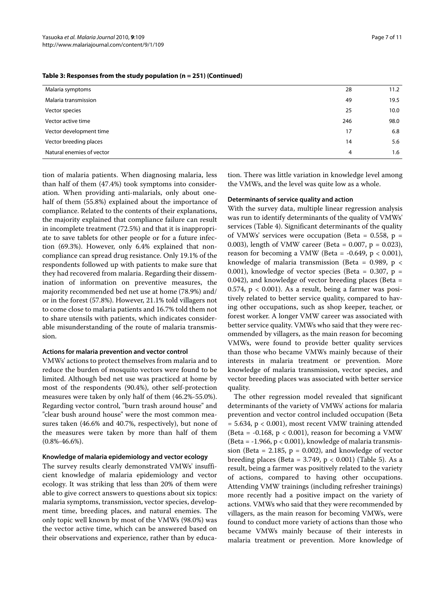| Malaria symptoms          | 28  | 11.2 |
|---------------------------|-----|------|
| Malaria transmission      | 49  | 19.5 |
| Vector species            | 25  | 10.0 |
| Vector active time        | 246 | 98.0 |
| Vector development time   | 17  | 6.8  |
| Vector breeding places    | 14  | 5.6  |
| Natural enemies of vector | 4   | 1.6  |

**Table 3: Responses from the study population (n = 251) (Continued)**

tion of malaria patients. When diagnosing malaria, less than half of them (47.4%) took symptoms into consideration. When providing anti-malarials, only about onehalf of them (55.8%) explained about the importance of compliance. Related to the contents of their explanations, the majority explained that compliance failure can result in incomplete treatment (72.5%) and that it is inappropriate to save tablets for other people or for a future infection (69.3%). However, only 6.4% explained that noncompliance can spread drug resistance. Only 19.1% of the respondents followed up with patients to make sure that they had recovered from malaria. Regarding their dissemination of information on preventive measures, the majority recommended bed net use at home (78.9%) and/ or in the forest (57.8%). However, 21.1% told villagers not to come close to malaria patients and 16.7% told them not to share utensils with patients, which indicates considerable misunderstanding of the route of malaria transmission.

## **Actions for malaria prevention and vector control**

VMWs' actions to protect themselves from malaria and to reduce the burden of mosquito vectors were found to be limited. Although bed net use was practiced at home by most of the respondents (90.4%), other self-protection measures were taken by only half of them (46.2%-55.0%). Regarding vector control, "burn trash around house" and "clear bush around house" were the most common measures taken (46.6% and 40.7%, respectively), but none of the measures were taken by more than half of them  $(0.8\% - 46.6\%)$ .

## **Knowledge of malaria epidemiology and vector ecology**

The survey results clearly demonstrated VMWs' insufficient knowledge of malaria epidemiology and vector ecology. It was striking that less than 20% of them were able to give correct answers to questions about six topics: malaria symptoms, transmission, vector species, development time, breeding places, and natural enemies. The only topic well known by most of the VMWs (98.0%) was the vector active time, which can be answered based on their observations and experience, rather than by education. There was little variation in knowledge level among the VMWs, and the level was quite low as a whole.

## **Determinants of service quality and action**

With the survey data, multiple linear regression analysis was run to identify determinants of the quality of VMWs' services (Table 4). Significant determinants of the quality of VMWs' services were occupation (Beta =  $0.558$ , p = 0.003), length of VMW career (Beta =  $0.007$ , p =  $0.023$ ), reason for becoming a VMW (Beta =  $-0.649$ , p < 0.001), knowledge of malaria transmission (Beta = 0.989, p < 0.001), knowledge of vector species (Beta =  $0.307$ , p = 0.042), and knowledge of vector breeding places (Beta = 0.574,  $p < 0.001$ ). As a result, being a farmer was positively related to better service quality, compared to having other occupations, such as shop keeper, teacher, or forest worker. A longer VMW career was associated with better service quality. VMWs who said that they were recommended by villagers, as the main reason for becoming VMWs, were found to provide better quality services than those who became VMWs mainly because of their interests in malaria treatment or prevention. More knowledge of malaria transmission, vector species, and vector breeding places was associated with better service quality.

The other regression model revealed that significant determinants of the variety of VMWs' actions for malaria prevention and vector control included occupation (Beta  $= 5.634$ ,  $p < 0.001$ ), most recent VMW training attended (Beta =  $-0.168$ ,  $p < 0.001$ ), reason for becoming a VMW (Beta = -1.966, p < 0.001), knowledge of malaria transmission (Beta = 2.185,  $p = 0.002$ ), and knowledge of vector breeding places (Beta = 3.749,  $p < 0.001$ ) (Table 5). As a result, being a farmer was positively related to the variety of actions, compared to having other occupations. Attending VMW trainings (including refresher trainings) more recently had a positive impact on the variety of actions. VMWs who said that they were recommended by villagers, as the main reason for becoming VMWs, were found to conduct more variety of actions than those who became VMWs mainly because of their interests in malaria treatment or prevention. More knowledge of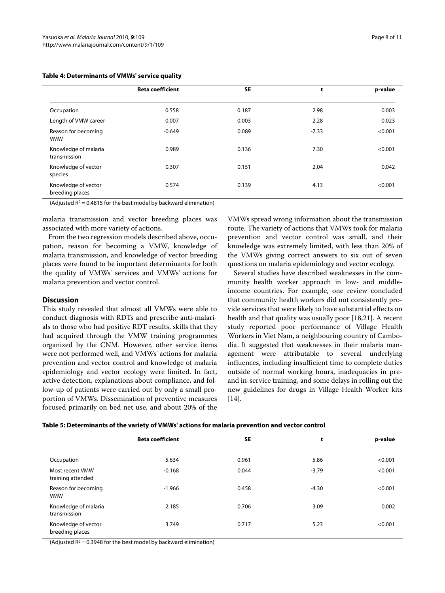|                                        | <b>Beta coefficient</b> | <b>SE</b> |         | p-value |
|----------------------------------------|-------------------------|-----------|---------|---------|
| Occupation                             | 0.558                   | 0.187     | 2.98    | 0.003   |
| Length of VMW career                   | 0.007                   | 0.003     | 2.28    | 0.023   |
| Reason for becoming<br><b>VMW</b>      | $-0.649$                | 0.089     | $-7.33$ | < 0.001 |
| Knowledge of malaria<br>transmission   | 0.989                   | 0.136     | 7.30    | < 0.001 |
| Knowledge of vector<br>species         | 0.307                   | 0.151     | 2.04    | 0.042   |
| Knowledge of vector<br>breeding places | 0.574                   | 0.139     | 4.13    | < 0.001 |

## **Table 4: Determinants of VMWs' service quality**

(Adjusted  $R^2$  = 0.4815 for the best model by backward elimination)

malaria transmission and vector breeding places was associated with more variety of actions.

From the two regression models described above, occupation, reason for becoming a VMW, knowledge of malaria transmission, and knowledge of vector breeding places were found to be important determinants for both the quality of VMWs' services and VMWs' actions for malaria prevention and vector control.

## **Discussion**

This study revealed that almost all VMWs were able to conduct diagnosis with RDTs and prescribe anti-malarials to those who had positive RDT results, skills that they had acquired through the VMW training programmes organized by the CNM. However, other service items were not performed well, and VMWs' actions for malaria prevention and vector control and knowledge of malaria epidemiology and vector ecology were limited. In fact, active detection, explanations about compliance, and follow-up of patients were carried out by only a small proportion of VMWs. Dissemination of preventive measures focused primarily on bed net use, and about 20% of the VMWs spread wrong information about the transmission route. The variety of actions that VMWs took for malaria prevention and vector control was small, and their knowledge was extremely limited, with less than 20% of the VMWs giving correct answers to six out of seven questions on malaria epidemiology and vector ecology.

Several studies have described weaknesses in the community health worker approach in low- and middleincome countries. For example, one review concluded that community health workers did not consistently provide services that were likely to have substantial effects on health and that quality was usually poor [[18](#page-9-15),[21\]](#page-9-18). A recent study reported poor performance of Village Health Workers in Viet Nam, a neighbouring country of Cambodia. It suggested that weaknesses in their malaria management were attributable to several underlying influences, including insufficient time to complete duties outside of normal working hours, inadequacies in preand in-service training, and some delays in rolling out the new guidelines for drugs in Village Health Worker kits [[14\]](#page-9-19).

|                                        | <b>Beta coefficient</b> | <b>SE</b> | ι       | p-value |
|----------------------------------------|-------------------------|-----------|---------|---------|
| Occupation                             | 5.634                   | 0.961     | 5.86    | < 0.001 |
| Most recent VMW<br>training attended   | $-0.168$                | 0.044     | $-3.79$ | < 0.001 |
| Reason for becoming<br><b>VMW</b>      | $-1.966$                | 0.458     | $-4.30$ | < 0.001 |
| Knowledge of malaria<br>transmission   | 2.185                   | 0.706     | 3.09    | 0.002   |
| Knowledge of vector<br>breeding places | 3.749                   | 0.717     | 5.23    | < 0.001 |

(Adjusted  $R^2$  = 0.3948 for the best model by backward elimination)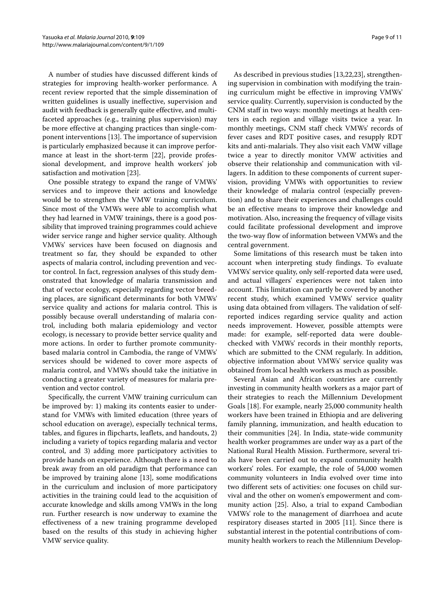A number of studies have discussed different kinds of strategies for improving health-worker performance. A recent review reported that the simple dissemination of written guidelines is usually ineffective, supervision and audit with feedback is generally quite effective, and multifaceted approaches (e.g., training plus supervision) may be more effective at changing practices than single-component interventions [[13](#page-9-12)]. The importance of supervision is particularly emphasized because it can improve performance at least in the short-term [\[22\]](#page-9-20), provide professional development, and improve health workers' job satisfaction and motivation [[23\]](#page-10-0).

One possible strategy to expand the range of VMWs' services and to improve their actions and knowledge would be to strengthen the VMW training curriculum. Since most of the VMWs were able to accomplish what they had learned in VMW trainings, there is a good possibility that improved training programmes could achieve wider service range and higher service quality. Although VMWs' services have been focused on diagnosis and treatment so far, they should be expanded to other aspects of malaria control, including prevention and vector control. In fact, regression analyses of this study demonstrated that knowledge of malaria transmission and that of vector ecology, especially regarding vector breeding places, are significant determinants for both VMWs' service quality and actions for malaria control. This is possibly because overall understanding of malaria control, including both malaria epidemiology and vector ecology, is necessary to provide better service quality and more actions. In order to further promote communitybased malaria control in Cambodia, the range of VMWs' services should be widened to cover more aspects of malaria control, and VMWs should take the initiative in conducting a greater variety of measures for malaria prevention and vector control.

Specifically, the current VMW training curriculum can be improved by: 1) making its contents easier to understand for VMWs with limited education (three years of school education on average), especially technical terms, tables, and figures in flipcharts, leaflets, and handouts, 2) including a variety of topics regarding malaria and vector control, and 3) adding more participatory activities to provide hands on experience. Although there is a need to break away from an old paradigm that performance can be improved by training alone [\[13](#page-9-12)], some modifications in the curriculum and inclusion of more participatory activities in the training could lead to the acquisition of accurate knowledge and skills among VMWs in the long run. Further research is now underway to examine the effectiveness of a new training programme developed based on the results of this study in achieving higher VMW service quality.

As described in previous studies [\[13](#page-9-12)[,22](#page-9-20),[23](#page-10-0)], strengthening supervision in combination with modifying the training curriculum might be effective in improving VMWs' service quality. Currently, supervision is conducted by the CNM staff in two ways: monthly meetings at health centers in each region and village visits twice a year. In monthly meetings, CNM staff check VMWs' records of fever cases and RDT positive cases, and resupply RDT kits and anti-malarials. They also visit each VMW village twice a year to directly monitor VMW activities and observe their relationship and communication with villagers. In addition to these components of current supervision, providing VMWs with opportunities to review their knowledge of malaria control (especially prevention) and to share their experiences and challenges could be an effective means to improve their knowledge and motivation. Also, increasing the frequency of village visits could facilitate professional development and improve the two-way flow of information between VMWs and the central government.

Some limitations of this research must be taken into account when interpreting study findings. To evaluate VMWs' service quality, only self-reported data were used, and actual villagers' experiences were not taken into account. This limitation can partly be covered by another recent study, which examined VMWs' service quality using data obtained from villagers. The validation of selfreported indices regarding service quality and action needs improvement. However, possible attempts were made: for example, self-reported data were doublechecked with VMWs' records in their monthly reports, which are submitted to the CNM regularly. In addition, objective information about VMWs' service quality was obtained from local health workers as much as possible.

Several Asian and African countries are currently investing in community health workers as a major part of their strategies to reach the Millennium Development Goals [[18\]](#page-9-15). For example, nearly 25,000 community health workers have been trained in Ethiopia and are delivering family planning, immunization, and health education to their communities [[24\]](#page-10-1). In India, state-wide community health worker programmes are under way as a part of the National Rural Health Mission. Furthermore, several trials have been carried out to expand community health workers' roles. For example, the role of 54,000 women community volunteers in India evolved over time into two different sets of activities: one focuses on child survival and the other on women's empowerment and community action [[25\]](#page-10-2). Also, a trial to expand Cambodian VMWs' role to the management of diarrhoea and acute respiratory diseases started in 2005 [[11\]](#page-9-10). Since there is substantial interest in the potential contributions of community health workers to reach the Millennium Develop-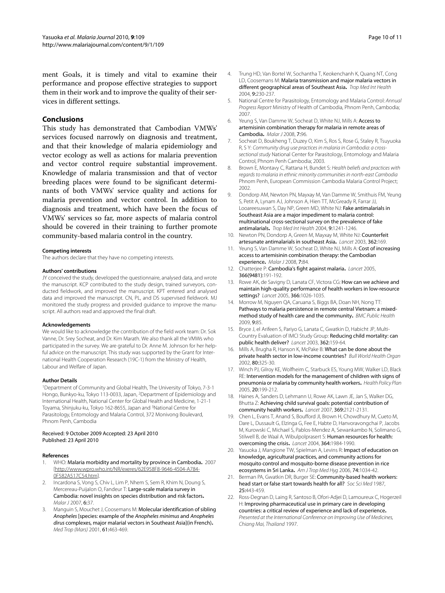ment Goals, it is timely and vital to examine their performance and propose effective strategies to support them in their work and to improve the quality of their services in different settings.

## **Conclusions**

This study has demonstrated that Cambodian VMWs' services focused narrowly on diagnosis and treatment, and that their knowledge of malaria epidemiology and vector ecology as well as actions for malaria prevention and vector control require substantial improvement. Knowledge of malaria transmission and that of vector breeding places were found to be significant determinants of both VMWs' service quality and actions for malaria prevention and vector control. In addition to diagnosis and treatment, which have been the focus of VMWs' services so far, more aspects of malaria control should be covered in their training to further promote community-based malaria control in the country.

#### **Competing interests**

The authors declare that they have no competing interests.

#### **Authors' contributions**

JY conceived the study, developed the questionnaire, analysed data, and wrote the manuscript. KCP contributed to the study design, trained surveyors, conducted fieldwork, and improved the manuscript. KPT entered and analysed data and improved the manuscript. CN, PL, and DS supervised fieldwork. MJ monitored the study progress and provided guidance to improve the manuscript. All authors read and approved the final draft.

### **Acknowledgements**

We would like to acknowledge the contribution of the field work team: Dr. Sok Vanne, Dr. Srey Socheat, and Dr. Kim Marath. We also thank all the VMWs who participated in the survey. We are grateful to Dr. Anne M. Johnson for her helpful advice on the manuscript. This study was supported by the Grant for International Health Cooperation Research (19C-1) from the Ministry of Health, Labour and Welfare of Japan.

## **Author Details**

1Department of Community and Global Health, The University of Tokyo, 7-3-1 Hongo, Bunkyo-ku, Tokyo 113-0033, Japan, 2Department of Epidemiology and International Health, National Center for Global Health and Medicine, 1-21-1 Toyama, Shinjuku-ku, Tokyo 162-8655, Japan and 3National Centre for Parasitology, Entomology and Malaria Control, 372 Monivong Boulevard, Phnom Penh, Cambodia

## Received: 9 October 2009 Accepted: 23 April 2010 Published: 23 April 2010

#### **References**

- <span id="page-9-0"></span>1. WHO: Malaria morbidity and mortality by province in Cambodia**.** 2007 [[http://www.wpro.who.int/NR/exeres/62E958F8-9646-4504-A784-](http://www.wpro.who.int/NR/exeres/62E958F8-9646-4504-A784-0F582A517C54.htm) [0F582A517C54.htm](http://www.wpro.who.int/NR/exeres/62E958F8-9646-4504-A784-0F582A517C54.htm)].
- <span id="page-9-1"></span>2. Incardona S, Vong S, Chiv L, Lim P, Nhem S, Sem R, Khim N, Doung S, Mercereau-Puijalon O, Fandeur T: Large-scale malaria survey in Cambodia: novel insights on species distribution and risk factors**.** Malar J 2007, 6:37.
- <span id="page-9-2"></span>3. Manguin S, Mouchet J, Coosemans M: Molecular identification of sibling Anopheles [species: example of the Anopheles minimus and Anopheles dirus complexes, major malarial vectors in Southeast Asia](in French)**[.](http://www.ncbi.nlm.nih.gov/entrez/query.fcgi?cmd=Retrieve&db=PubMed&dopt=Abstract&list_uids=11980390)** Med Trop (Mars) 2001, 61:463-469.
- <span id="page-9-3"></span>4. Trung HD, Van Bortel W, Sochantha T, Keokenchanh K, Quang NT, Cong LD, Coosemans M: Malaria transmission and major malaria vectors in different geographical areas of Southeast Asia**[.](http://www.ncbi.nlm.nih.gov/entrez/query.fcgi?cmd=Retrieve&db=PubMed&dopt=Abstract&list_uids=15040560)** Trop Med Int Health 2004, 9:230-237.
- <span id="page-9-4"></span>5. National Centre for Parasitology, Entomology and Malaria Control: Annual Progress Report Ministry of Health of Cambodia, Phnom Penh, Cambodia; 2007.
- <span id="page-9-5"></span>6. Yeung S, Van Damme W, Socheat D, White NJ, Mills A: Access to artemisinin combination therapy for malaria in remote areas of Cambodia**.** Malar J 2008, 7:96.
- <span id="page-9-6"></span>7. Socheat D, Boukheng T, Duzey O, Kim S, Ros S, Rose G, Staley R, Tsuyuoka R, S Y: Community drug use practices in malaria in Cambodia: a crosssectional study National Center for Parasitology, Entomology and Malaria Control, Phnom Penh Cambodia; 2003.
- <span id="page-9-7"></span>8. Brown E, Montavy C, Rattana H, Bundet S: Health beliefs and practices with regards to malaria in ethnic minority communities in north-east Cambodia Phnom Penh, European Commission Cambodia Malaria Control Project; 2002.
- <span id="page-9-8"></span>9. Dondorp AM, Newton PN, Mayxay M, Van Damme W, Smithuis FM, Yeung S, Petit A, Lynam AJ, Johnson A, Hien TT, McGready R, Farrar JJ, Looareesuwan S, Day NP, Green MD, White NJ: Fake antimalarials in Southeast Asia are a major impediment to malaria control: multinational cross-sectional survey on the prevalence of fake antimalarials**.** Trop Med Int Health 2004, 9:1241-1246.
- <span id="page-9-9"></span>10. Newton PN, Dondorp A, Green M, Mayxay M, White NJ: Counterfeit artesunate antimalarials in southeast Asia**.** Lancet 2003, 362:169.
- <span id="page-9-10"></span>11. Yeung S, Van Damme W, Socheat D, White NJ, Mills A: Cost of increasing access to artemisinin combination therapy: the Cambodian experience**.** Malar J 2008, 7:84.
- <span id="page-9-11"></span>12. Chatterjee P: Cambodia's fight against malaria**.** Lancet 2005, 366(9481):191-192.
- <span id="page-9-12"></span>13. Rowe AK, de Savigny D, Lanata CF, Victora CG: How can we achieve and maintain high-quality performance of health workers in low-resource settings? Lancet 2005, 366:1026-1035.
- <span id="page-9-19"></span>14. Morrow M, Nguyen QA, Caruana S, Biggs BA, Doan NH, Nong TT: Pathways to malaria persistence in remote central Vietnam: a mixedmethod study of health care and the community**.** BMC Public Health 2009, 9:85.
- 15. Bryce J, el Arifeen S, Pariyo G, Lanata C, Gwatkin D, Habicht JP, Multi-Country Evaluation of IMCI Study Group: Reducing child mortality: can public health deliver? Lancet 2003, 362:159-64.
- <span id="page-9-13"></span>16. Mills A, Brugha R, Hanson K, McPake B: What can be done about the private health sector in low-income countries? Bull World Health Organ 2002, 80:325-30.
- <span id="page-9-14"></span>17. Winch PJ, Gilroy KE, Wolfheim C, Starbuck ES, Young MW, Walker LD, Black RE: Intervention models for the management of children with signs of pneumonia or malaria by community health workers**.** Health Policy Plan 2005, 20:199-212.
- <span id="page-9-15"></span>18. Haines A, Sanders D, Lehmann U, Rowe AK, Lawn JE, Jan S, Walker DG, Bhutta Z: Achieving child survival goals: potential contribution of community health workers**.** Lancet 2007, 369:2121-2131.
- <span id="page-9-16"></span>19. Chen L, Evans T, Anand S, Boufford JI, Brown H, Chowdhury M, Cueto M, Dare L, Dussault G, Elzinga G, Fee E, Habte D, Hanvoravongchai P, Jacobs M, Kurowski C, Michael S, Pablos-Mendez A, Sewankambo N, Solimano G, Stilwell B, de Waal A, Wibulpolprasert S: Human resources for health: overcoming the crisis**.** Lancet 2004, 364:1984-1990.
- <span id="page-9-17"></span>20. Yasuoka J, Mangione TW, Spielman A, Levins R: Impact of education on knowledge, agricultural practices, and community actions for mosquito control and mosquito-borne disease prevention in rice ecosystems in Sri Lanka**.** Am J Trop Med Hyg 2006, 74:1034-42.
- <span id="page-9-18"></span>21. Berman PA, Gwatkin DR, Burger SE: Community-based health workers: head start or false start towards health for all? Soc Sci Med 1987, 25:443-459.
- <span id="page-9-20"></span>22. Ross-Degnan D, Laing R, Santoso B, Ofori-Adjei D, Lamoureux C, Hogerzeil H: Improving pharmaceutical use in primary care in developing countries: a critical review of experience and lack of experience**.** Presented at the International Conference on Improving Use of Medicines, Chiang Mai, Thailand 1997.